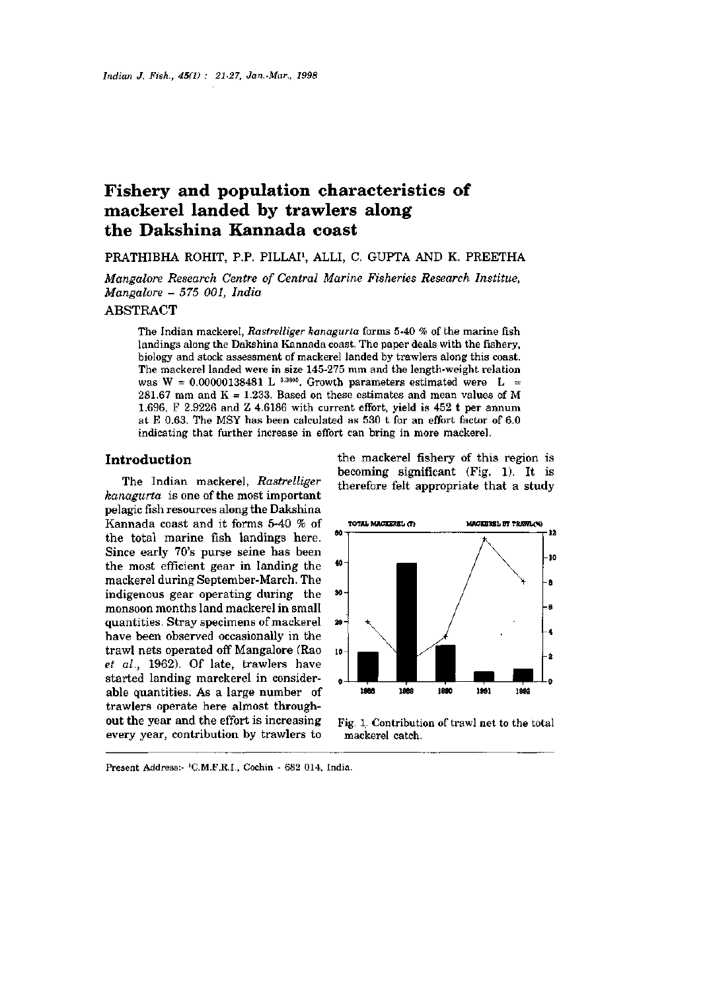# Fishery and population characteristics of mackerel landed by trawlers along the Dakshina Kannada coast

## PRATHIBHA ROHIT, P.P. PILLAI<sup>1</sup>, ALLI, C. GUPTA AND K. PREETHA

*Mangalore Research Centre of Central Marine Fisheries Research Institue, Mangalore - 575 001, India* 

## ABSTRACT

The Indian mackerel, *Rastrelliger kanagurta* forms 5-40 % of the marine fish landings along the Dakshina Kannada coast. The paper deals with the fishery, biology and stock assessment of mackerel landed by trawlers along this coast. The mackerel landed were in size 145-275 mm and the length-weight relation was W = 0.00000138481 L  $^{3,3805}$ . Growth parameters estimated were L =  $281.67$  mm and  $K = 1.233$ . Based on these estimates and mean values of M 1.696, F 2.9226 and Z 4.6186 with current effort, yield is 452 t per annum at E 0.63. The MSY has been calculated as 530 t for an effort factor of 6.0 indicating that further increase in effort can bring in more mackerel.

## **Introduction**

The Indian mackerel, *Rastrelliger kanagurta* is one of the most important pelagic fish resources along the Dakshina Kannada coast and it forms 5-40 % of the total marine fish landings here. Since early 70's purse seine has been the most efficient gear in landing the mackerel during September-March. The indigenous gear operating during the monsoon months land mackerel in small quantities. Stray specimens of mackerel have been observed occasionally in the trawl nets operated off Mangalore (Rao *et al.,* 1962). Of late, trawlers have started landing marckerel in considerable quantities. As a large number of trawlers operate here almost throughout the year and the effort is increasing every year, contribution by trawlers to

the mackerel fishery of this region is becoming significant (Fig. 1). It is therefore felt appropriate that a study



Fig. 1. Contribution of trawl net to the total mackerel catch.

Present Address: <sup>1</sup>C.M.F.R.I., Cochin - 682 014, India.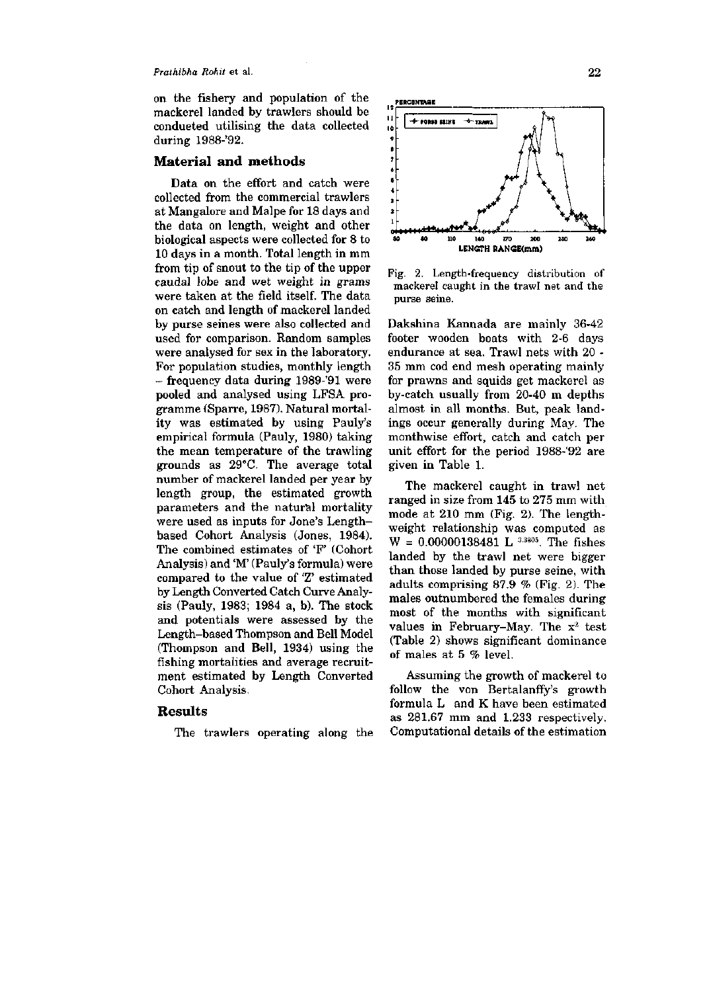#### *Prathibha Rohit* et al. **22**

on the fishery and population of the mackerel landed by trawlers should be condueted utilising the data collected during 1988-'92.

#### **Material and methods**

Data on the effort and catch were collected from the commercial trawlers at Mangalore and Malpe for 18 days and the data on length, weight and other biological aspects were collected for 8 to 10 days in a month. Total length in mm from tip of snout to the tip of the upper caudal lobe and wet weight in grams were taken at the field itself. The data on catch and length of mackerel landed by purse seines were also collected and used for comparison. Random samples were analysed for sex in the laboratory. For population studies, monthly length - frequency data during 1989-'91 were pooled and analysed using LFSA programme (Sparre, 1987). Natural mortality was estimated by using Pauly's empirical formula (Pauly, 1980) taking the mean temperature of the trawling grounds as 29°C. The average total number of mackerel landed per year by length group, the estimated growth parameters and the natural mortality were used as inputs for Jone's Lengthbased Cohort Analysis (Jones, 1984). The combined estimates of 'F' (Cohort Analysis) and 'M' (Pauly's formula) were compared to the value of  $T$  estimated compared to the value of 2 estimated<br>by Longth Converted Catch Curve Analyby Length Converted Catch Curve Analysis (Pauly, 1983; 1984 a, b). The stock and  $(1 \text{ any}, 1000, 1004 \text{ a}, 0)$ , the stock and potentials were assessed by the<br>Length-based Thompson and Bell Model Lengui-based inompson and Ben Model<br>Thompson and Bell, 1934) using the  $f_1$  from pson and ben, 1954) using the  $f_2$ fishing mortalities and average recruitment estimated by Length Converted<br>Cohort Analysis.

## **Results**

The trawlers operating along the



Fig. 2. Length-frequency distribution of mackerel caught in the trawl net and the purse seine.

Dakshina Kannada are mainly 36-42 footer wooden boats with 2-6 days endurance at sea. Trawl nets with 20 - 35 mm cod end mesh operating mainly for prawns and squids get mackerel as by-catch usually from 20-40 m depths almost in all months. But, peak landings occur generally during May. The monthwise effort, catch and catch per unit effort for the period 1988-'92 are given in Table 1.

The mackerel caught in trawl net ranged in size from 145 to 275 mm with mode at 210 mm (Fig. 2). The lengthweight relationship was computed as  $W = 0.00000138481$  L  $^{3.3805}$ . The fishes landed by the trawl net were bigger than those landed by purse seine, with adults comprising 87.9 % (Fig. 2). The males outnumbered the females during most of the months with significant values in February-May. The  $x^2$  test (Table 2) shows significant dominance of males at 5 % level.

Assuming the growth of mackerel to follow the von Bertalanffy's growth formula L and K have been estimated as 281.67 mm and 1.233 respectively. Computational details of the estimation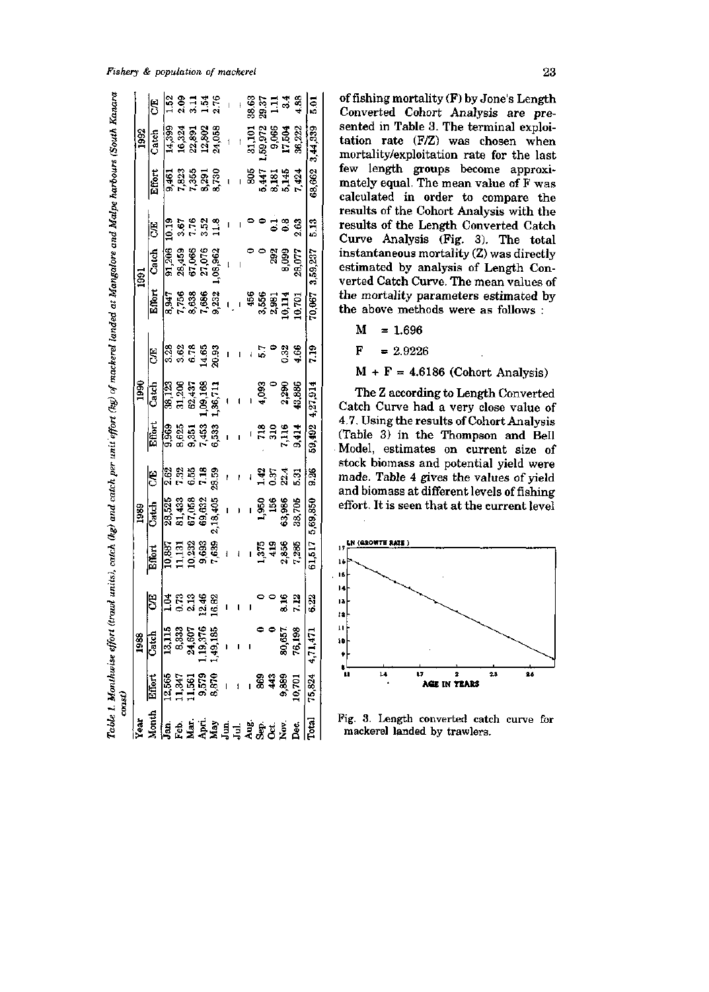#### *Fishery & population of mackerel* 23

| 5<br>ន្ទ្រី<br>សូម ឆ្នាំ និង<br>សូម ឆ្នាំ<br><b>ទី</b> ខ្នង និ<br>81,433<br>67,058<br>69,632<br>63,986<br>28,525<br>1,950<br>156<br>2,18,405<br>Catch<br>$\begin{array}{c} 11,131 \\ 10,232 \\ 9,693 \end{array}$<br>7,639<br>2,856<br>10,887<br>$1,375$<br>419<br>Effort<br>$\overline{\mathbf{1}}$<br> <br>  ၁ ၁ ၁ ၁ ၁<br>  ၂ ၁ ၁ ၁ ၁ ၁<br>8.16<br>50<br>13,115<br><b>8,333</b><br>24,607<br>19,376<br>1,49,185<br>80,657<br>Catch<br>1988<br>12,565<br>11,561<br>11,5679<br>9,579<br>8,870<br>Effort<br>88<br>43<br>9,889<br><b>Lonth</b><br>an<br>Rajari 11 maséhi di<br>Angkal 11 maséhi di k<br>ea' |      |       |        |                           |                  |                                  |                                 |                            |                      |                                           |                                      |                |
|-----------------------------------------------------------------------------------------------------------------------------------------------------------------------------------------------------------------------------------------------------------------------------------------------------------------------------------------------------------------------------------------------------------------------------------------------------------------------------------------------------------------------------------------------------------------------------------------------------------|------|-------|--------|---------------------------|------------------|----------------------------------|---------------------------------|----------------------------|----------------------|-------------------------------------------|--------------------------------------|----------------|
|                                                                                                                                                                                                                                                                                                                                                                                                                                                                                                                                                                                                           |      |       | 1989   |                           | 1990             |                                  |                                 | 1991                       |                      |                                           | 1992                                 |                |
|                                                                                                                                                                                                                                                                                                                                                                                                                                                                                                                                                                                                           |      |       |        | Effort                    | Catch            | 5                                | Effort                          | Catch                      | 15                   | Effort                                    | Catch                                | S              |
|                                                                                                                                                                                                                                                                                                                                                                                                                                                                                                                                                                                                           |      |       |        | 9,969                     | 38,123           |                                  | 8,947                           | 91,206                     | 10.19                |                                           | 14,399                               | 1.52           |
|                                                                                                                                                                                                                                                                                                                                                                                                                                                                                                                                                                                                           |      |       |        |                           |                  |                                  |                                 |                            | 3.67                 |                                           |                                      |                |
|                                                                                                                                                                                                                                                                                                                                                                                                                                                                                                                                                                                                           |      |       |        |                           | 31,206<br>62,437 |                                  |                                 |                            |                      |                                           |                                      |                |
|                                                                                                                                                                                                                                                                                                                                                                                                                                                                                                                                                                                                           |      |       |        |                           | 1,09,168         |                                  |                                 | 28,459<br>67,066<br>27,076 |                      |                                           |                                      |                |
|                                                                                                                                                                                                                                                                                                                                                                                                                                                                                                                                                                                                           |      |       |        | <b>885 888</b><br>883 888 | 1,36,711         | .<br>ನೆ ಭೆ ಜ ಟಿ ದ<br>ಇ ಇ ಆ ಕ್ಷ ನ |                                 | ,08,962                    | 7.52<br>5.52<br>11.8 | 9,835<br>7,835<br>7,355<br>8,730<br>8,730 | 16,324<br>22,891<br>24,058<br>24,058 | 8135<br>8358   |
|                                                                                                                                                                                                                                                                                                                                                                                                                                                                                                                                                                                                           |      |       |        |                           |                  |                                  |                                 |                            |                      | $\overline{\phantom{a}}$                  |                                      |                |
|                                                                                                                                                                                                                                                                                                                                                                                                                                                                                                                                                                                                           |      |       |        |                           |                  |                                  |                                 |                            |                      |                                           | $\mathbf{I}$                         |                |
|                                                                                                                                                                                                                                                                                                                                                                                                                                                                                                                                                                                                           |      |       |        |                           |                  |                                  |                                 |                            |                      |                                           | 31,101                               | 38.63          |
|                                                                                                                                                                                                                                                                                                                                                                                                                                                                                                                                                                                                           |      |       |        |                           | 4,093            |                                  |                                 |                            | ಿಂದ                  |                                           |                                      |                |
|                                                                                                                                                                                                                                                                                                                                                                                                                                                                                                                                                                                                           |      |       |        |                           |                  |                                  |                                 | 292                        |                      |                                           |                                      | 29.37<br>1.11  |
|                                                                                                                                                                                                                                                                                                                                                                                                                                                                                                                                                                                                           |      |       |        | es<br>Esta<br>Esta        | 2,290            | 0.32                             | 456<br>5585<br>5010.70<br>10.10 | 8,099                      | ី                    | <b>9845</b><br>84555                      | 59,972<br>9,066<br>17,504            | 3 <sub>4</sub> |
| 10,701                                                                                                                                                                                                                                                                                                                                                                                                                                                                                                                                                                                                    | 7.12 | 7,285 | 38,705 |                           | 43,886           | 4.66                             |                                 | 28,077                     | 2.63                 | 7,424                                     | 36,222                               | 4.88           |
| 9.26<br>5,69,850<br>61,517<br>6.22<br>$75,824$ 4,71,471                                                                                                                                                                                                                                                                                                                                                                                                                                                                                                                                                   |      |       |        | 59,492                    | 4,27,914         | er z                             | 10,067                          | 3,59,237                   | 513                  |                                           | 68,662 3,44,339                      | $\frac{5}{6}$  |

of fishing mortality (F) by Jone's Length Converted Cohort Analysis are presented in Table 3. The terminal exploitation rate (F/Z) was chosen when mortality/exploitation rate for the last few length groups become approximately equal. The mean value of F was calculated in order to compare the results of the Cohort Analysis with the results of the Length Converted Catch Curve Analysis (Fig. 3). The total instantaneous mortality (Z) was directly estimated by analysis of Length Converted Catch Curve. The mean values of the mortality parameters estimated by the above methods were as follows :

$$
M = 1.696
$$

$$
F = 2.9226
$$

 $M + F = 4.6186$  (Cohort Analysis)

The Z according to Length Converted Catch Curve had a very close value of 4.7. Using the results of Cohort Analysis (Table 3) in the Thompson and Bell Model, estimates on current size of stock biomass and potential yield were made. Table 4 gives the values of yield and biomass at different levels of fishing effort. It is seen that at the current level



Fig. 3. Length converted catch curve for mackerel landed by trawlers.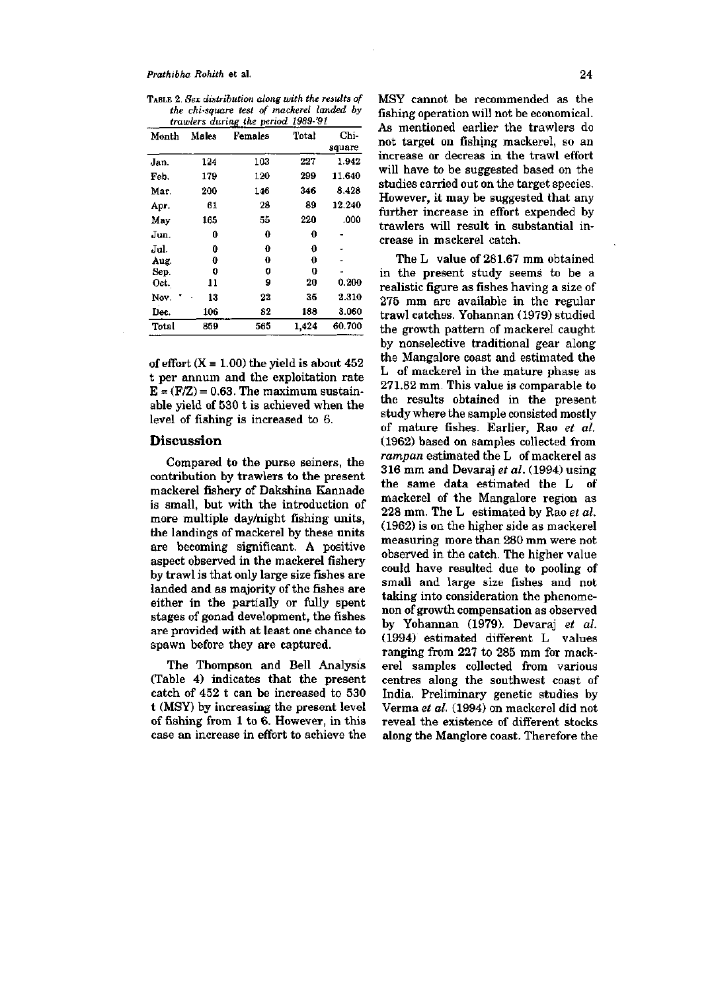*Prathihha Rohith* et al. **24** 

TABLE 2. *Sex distribution along with the results of the chi-square test of mackerel landed by* 

| trawlers during the period 1989-'91 |       |         |       |                |  |  |
|-------------------------------------|-------|---------|-------|----------------|--|--|
| Month                               | Males | Females | Total | Chi-<br>square |  |  |
| Jan.                                | 124   | 103     | 227   | 1.942          |  |  |
| Feb.                                | 179   | 120     | 299   | 11.640         |  |  |
| Mar.                                | 200   | 146     | 346   | 8.428          |  |  |
| Apr.                                | 61    | 28      | 89    | 12.240         |  |  |
| May                                 | 165   | 55      | 220   | .000           |  |  |
| Jun.                                | 0     | 0       | 0     |                |  |  |
| Jul.                                | 0     | 0       | 0     |                |  |  |
| Aug.                                | 0     | 0       | 0     |                |  |  |
| Sep.                                | 0     | 0       | 0     |                |  |  |
| Oct.                                | 11    | 9       | 20    | 0.200          |  |  |
| Nov.                                | 13    | 22      | 35    | $_{\rm 2.310}$ |  |  |
| Dec.                                | 106   | 82      | 188   | 3.060          |  |  |
| Total                               | 859   | 565     | 1.424 | 60.700         |  |  |

of effort  $(X = 1.00)$  the yield is about 452 t per annum and the exploitation rate  $E = (F/Z) = 0.63$ . The maximum sustainable yield of 530 t is achieved when the level of fishing is increased to 6.

### **Discussion**

Compared to the purse seiners, the contribution by trawlers to the present mackerel fishery of Dakshina Kannade is small, but with the introduction of more multiple day/night fishing units, the landings of mackerel by these units are becoming significant. A positive aspect observed in the mackerel fishery by trawl is that only large size fishes are landed and as majority of the fishes are either in the partially or fully spent stages of gonad development, the fishes are provided with at least one chance to spawn before they are captured.

The Thompson and Bell Analysis (Table 4) indicates that the present catch of 452 t can be increased to 530 t (MSY) by increasing the present level of fishing from 1 to 6. However, in this case an increase in effort to achieve the MSY cannot be recommended as the fishing operation will not be economical. As mentioned earlier the trawlers do not target on fishing mackerel, so an increase or decreas in the trawl effort will have to be suggested based on the studies carried out on the target species. However, it may be suggested that any further increase in effort expended by trawlers will result in substantial increase in mackerel catch.

The L value of 281.67 mm obtained in the present study seems to be a realistic figure as fishes having a size of 275 mm are available in the regular trawl catches. Yohannan (1979) studied the growth pattern of mackerel caught by nonselective traditional gear along the Mangalore coast and estimated the L of mackerel in the mature phase as 271.82 mm. This value is comparable to the results obtained in the present study where the sample consisted mostly of mature fishes. Earlier, Rao *et al.*  (1962) based on samples collected from rampan estimated the L of mackerel as 316 mm and Devaraj *et al.* (1994) using the same data estimated the L of mackerel of the Mangalore region as 228 mm. The L estimated by Rao *et al.*  (1962) is on the higher side as mackerel measuring more than 280 mm were not observed in the catch. The higher value could have resulted due to pooling of small and large size fishes and not taking into consideration the phenomenon of growth compensation as observed by Yohannan (1979). Devaraj *et al.*  (1994) estimated different L values ranging from 227 to 285 mm for mackerel samples collected from various centres along the southwest coast of centres anong the southwest coast of Verma *et al.* (1994) on mackerel did not verma et al. (1994) on mackerel did not<br>noteel the existence of different stocks reveal the existence of different stocks.<br>along the Manglore coast. Therefore the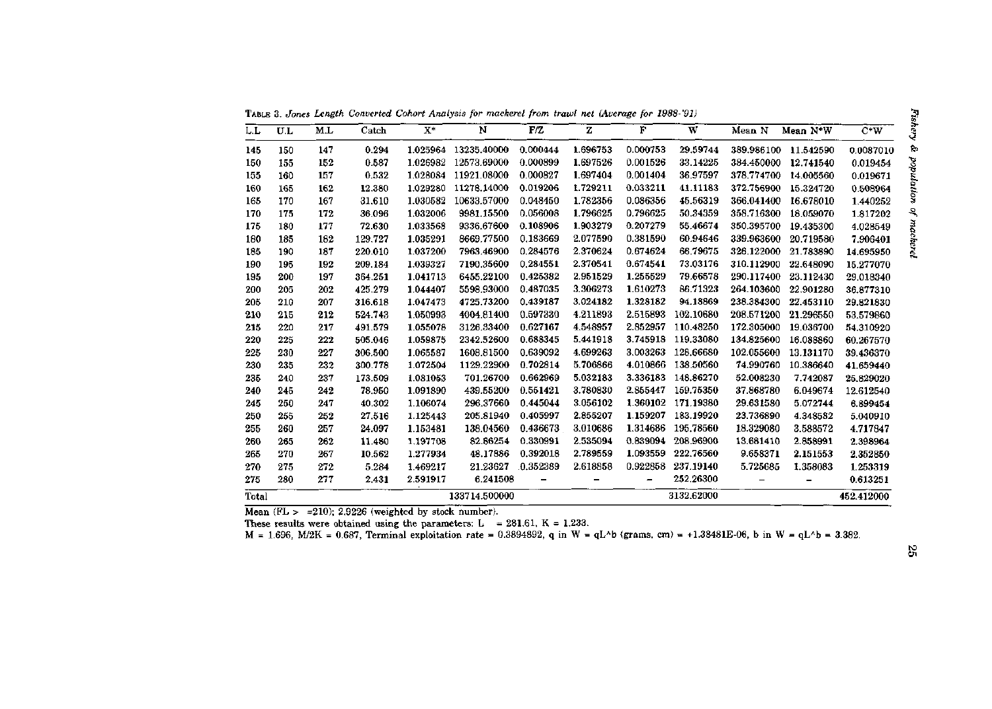TABLE 3. *Jones Length Converted Cohort Analysis for mackerel from trawl net (Average for 1988-'91)* 

| L.L   | $\mathbf{U}.\mathbf{L}$ | M.L | Catch   | $\mathbf{X}^*$ | N             | F/Z      | z        | F        | W          | Mean N     | Mean N*W  | $C*W$      |
|-------|-------------------------|-----|---------|----------------|---------------|----------|----------|----------|------------|------------|-----------|------------|
| 145   | 150                     | 147 | 0.294   | 1.025964       | 13235.40000   | 0.000444 | 1.696753 | 0.000753 | 29.59744   | 389.986100 | 11.542590 | 0.0087010  |
| 150   | 155                     | 152 | 0.587   | 1.026982       | 12573.69000   | 0.000899 | 1.697526 | 0.001526 | 33.14225   | 384.450000 | 12.741540 | 0.019454   |
| 155   | 160                     | 157 | 0.532   | 1.028084       | 11921.08000   | 0.000827 | 1.697404 | 0.001404 | 36.97597   | 378.774700 | 14.005560 | 0.019671   |
| 160   | 165                     | 162 | 12.380  | 1.029280       | 11278.14000   | 0.019206 | 1.729211 | 0.033211 | 41.11183   | 372.756900 | 15.324720 | 0.508964   |
| 165   | 170                     | 167 | 31.610  | 1.030582       | 10633.57000   | 0.048450 | 1.782356 | 0.086356 | 45.56319   | 366.041400 | 16.678010 | 1.440252   |
| 170   | 175                     | 172 | 36.096  | 1.032006       | 9981.15500    | 0.056008 | 1.796625 | 0.796625 | 50.34359   | 358.716300 | 18.059070 | 1.817202   |
| 175   | 180                     | 177 | 72.630  | 1.033568       | 9336.67600    | 0.108906 | 1.903279 | 0.207279 | 55.46674   | 350.395700 | 19.435300 | 4.028549   |
| 180   | 185                     | 182 | 129.727 | 1.035291       | 8669.77500    | 0.183669 | 2.077590 | 0.381590 | 60.94646   | 339.963600 | 20.719580 | 7.906401   |
| 185   | 190                     | 187 | 220.010 | 1.037200       | 7963.46900    | 0.284576 | 2.370624 | 0.674624 | 66.79675   | 326.122000 | 21.783890 | 14.695950  |
| 190   | 195                     | 192 | 209.184 | 1.039327       | 7190.35600    | 0.284551 | 2.370541 | 0.674541 | 73.03176   | 310.112900 | 22.648090 | 15.277070  |
| 195   | 200                     | 197 | 364.251 | 1.041713       | 6455.22100    | 0.425382 | 2.951529 | 1.255529 | 79.66578   | 290.117400 | 23.112430 | 29.018340  |
| 200   | 205                     | 202 | 425.279 | 1.044407       | 5598.93000    | 0.487035 | 3.306273 | 1.610273 | 86.71323   | 264.103600 | 22.901280 | 36.877310  |
| 205   | 210                     | 207 | 316.618 | 1.047473       | 4725.73200    | 0.439187 | 3.024182 | 1.328182 | 94.18869   | 238.384300 | 22.453110 | 29.821830  |
| 210   | 215                     | 212 | 524.743 | 1.050993       | 4004.81400    | 0.597330 | 4.211893 | 2.515893 | 102.10680  | 208.571200 | 21.296550 | 53.579860  |
| 215   | 220                     | 217 | 491.579 | 1.055078       | 3126.33400    | 0.627167 | 4.548957 | 2.852957 | 110.48250  | 172.305000 | 19.036700 | 54.310920  |
| 220   | 225                     | 222 | 505.046 | 1.059875       | 2342.52600    | 0.688345 | 5.441918 | 3.745918 | 119.33080  | 134.825600 | 16.088860 | 60.267570  |
| 225   | 230                     | 227 | 306.500 | 1.065587       | 1608.81500    | 0.639092 | 4.699263 | 3.003263 | 128.66680  | 102.055600 | 13.131170 | 39.436370  |
| 230   | 235                     | 232 | 300.778 | 1.072504       | 1129.22900    | 0.702814 | 5.706866 | 4.010866 | 138.50560  | 74.990760  | 10.386640 | 41.659440  |
| 235   | 240                     | 237 | 173.509 | 1.081053       | 701.26700     | 0.662969 | 5.032183 | 3.336183 | 148.86270  | 52.008230  | 7.742087  | 25.829020  |
| 240   | 245                     | 242 | 78.950  | 1.091890       | 439.55200     | 0.551421 | 3.780830 | 2.855447 | 159.75350  | 37.868780  | 6.049674  | 12.612540  |
| 245   | 250                     | 247 | 40.302  | 1.106074       | 296.37660     | 0.445044 | 3.056102 | 1.360102 | 171.19380  | 29.631580  | 5.072744  | 6.899454   |
| 250   | 255                     | 252 | 27.516  | 1.125443       | 205.81940     | 0.405997 | 2.855207 | 1.159207 | 183.19920  | 23.736890  | 4.348582  | 5.040910   |
| 255   | 260                     | 257 | 24.097  | 1.153481       | 138.04560     | 0.436673 | 3.010686 | 1.314686 | 195.78560  | 18.329080  | 3.588572  | 4.717847   |
| 260   | 265                     | 262 | 11.480  | 1.197708       | 82.86254      | 0.330991 | 2.535094 | 0.839094 | 208.96900  | 13.681410  | 2.858991  | 2.398964   |
| 265   | 270                     | 267 | 10.562  | 1.277934       | 48.17886      | 0.392018 | 2.789559 | 1.093559 | 222.76560  | 9.658371   | 2.151553  | 2.352850   |
| 270   | 275                     | 272 | 5.284   | 1.469217       | 21.23627      | 0.352389 | 2.618858 | 0.922858 | 237.19140  | 5.725685   | 1.358083  | 1.253319   |
| 275   | 280                     | 277 | 2.431   | 2.591917       | 6.241508      |          |          | -        | 252,26300  |            | -         | 0.613251   |
| Total |                         |     |         |                | 133714.500000 |          |          |          | 3132.62000 |            |           | 452.412000 |

Mean  $(FL > =210)$ ; 2.9226 (weighted by stock number).

These results were obtained using the parameters:  $L = 281.61$ ,  $K = 1.233$ .

 $M = 1.696$ ,  $M/2K = 0.687$ , Terminal exploitation rate = 0.3894892, q in W = qL^b (grams, cm) = +1.38481E-06, b in W = qL^b = 3.382.

0 Sr-**1**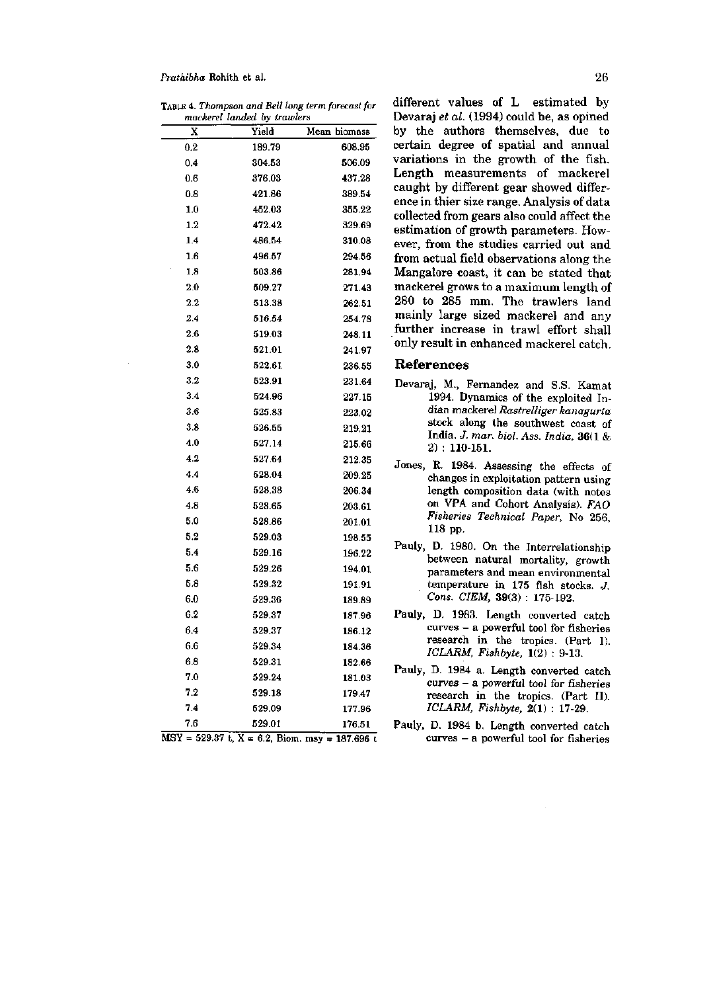#### *Prathibha* Rohith et al. **26**

TABLE 4. *Thompson and Bell long term forecast for mackerel landed by trawlers* 

| X   | Yield  | Mean biomass |
|-----|--------|--------------|
| 0.2 | 189.79 | 608.95       |
| 0.4 | 304.53 | 506.09       |
| 0.6 | 376.03 | 437.28       |
| 0.8 | 421.86 | 389.54       |
| 1.0 | 452.03 | 355.22       |
| 1.2 | 472.42 | 329.69       |
| 1.4 | 486.54 | 310.08       |
| 1.6 | 496.57 | 294.56       |
| 1.8 | 503.86 | 281.94       |
| 2.0 | 509.27 | 271.43       |
| 2.2 | 513.38 | 262.51       |
| 2.4 | 516.54 | 254.78       |
| 2.6 | 519.03 | 248.11       |
| 2.8 | 521.01 | 241.97       |
| 3.0 | 522.61 | 236.55       |
| 3.2 | 523.91 | 231.64       |
| 3.4 | 524.96 | 227.15       |
| 3.6 | 525.83 | 223.02       |
| 3.8 | 526.55 | 219.21       |
| 4.0 | 527.14 | 215.66       |
| 4.2 | 527.64 | 212.35       |
| 4.4 | 528.04 | 209.25       |
| 4.6 | 528.38 | 206.34       |
| 4.8 | 528.65 | 203.61       |
| 5.0 | 528.86 | 201.01       |
| 5.2 | 529.03 | 198.55       |
| 5.4 | 529.16 | 196.22       |
| 5.6 | 529.26 | 194.01       |
| 5.8 | 529.32 | 191.91       |
| 6.0 | 529.36 | 189.89       |
| 6.2 | 529.37 | 187.96       |
| 6.4 | 529.37 | 186.12       |
| 6.6 | 529.34 | 184.36       |
| 6.8 | 529.31 | 182.66       |
| 7.0 | 529.24 | 181.03       |
| 7.2 | 529.18 | 179.47       |
| 7.4 | 529.09 | 177.96       |
| 7.6 | 529.01 | 176.51       |

 $MSY = 529.37$  t,  $X = 6.2$ , Biom. msy = 187.696 t

different values of L estimated by Devaraj *et al.* (1994) could be, as opined by the authors themselves, due to certain degree of spatial and annual variations in the growth of the fish. Length measurements of mackerel caught by different gear showed difference in thier size range. Analysis of data collected from gears also could affect the estimation of growth parameters. However, from the studies carried out and from actual field observations along the Mangalore coast, it can be stated that mackerel grows to a maximum length of 280 to 285 mm. The trawlers land mainly large sized mackerel and any further increase in trawl effort shall only result in enhanced mackerel catch.

#### References

- Devaraj, M., Fernandez and S.S. Kamat 1994. Dynamics of the exploited Indian mackerel *Rastrelliger kanagurta*  stock along the southwest coast of India. *J. mar. biol. Ass. India,* 36(1 & 2) : 110-151.
- Jones, R. 1984. Assessing the effects of changes in exploitation pattern using length composition data (with notes on VPA and Cohort Analysis). *FAO Fisheries Technical Paper,* No 256, 118 pp.

Pauly, D. 1980. On the Interrelationship between natural mortality, growth parameters and mean environmental temperature in 175 fish stocks. *J. Cons. CIEM,* 39(3) : 175-192.

Pauly, D. 1983. Length converted catch curves - a powerful tool for fisheries research in the tropics. (Part I). *ICLARM, Fishbyte,* 1(2) : 9-13.

- Pauly, D. 1984 a. Length converted catch curves - a powerful tool for fisheries research in the tropics. (Part II). *ICLARM, Fishbyte,* 2(1) : 17-29.
- Pauly, D. 1984 b. Length converted catch curves - a powerful tool for fisheries